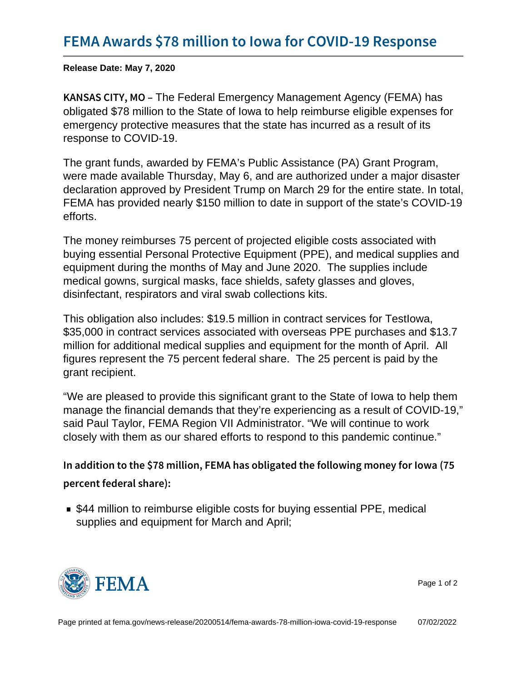Release Date: May 7, 2020

K A N S A S C I TTING Felderal Emergency Management Agency (FEMA) has obligated \$78 million to the State of Iowa to help reimburse eligible expenses for emergency protective measures that the state has incurred as a result of its response to COVID-19.

The grant funds, awarded by FEMA's Public Assistance (PA) Grant Program, were made available Thursday, May 6, and are authorized under a major disaster declaration approved by President Trump on March 29 for the entire state. In total, FEMA has provided nearly \$150 million to date in support of the state's COVID-19 efforts.

The money reimburses 75 percent of projected eligible costs associated with buying essential Personal Protective Equipment (PPE), and medical supplies and equipment during the months of May and June 2020. The supplies include medical gowns, surgical masks, face shields, safety glasses and gloves, disinfectant, respirators and viral swab collections kits.

This obligation also includes: \$19.5 million in contract services for TestIowa, \$35,000 in contract services associated with overseas PPE purchases and \$13.7 million for additional medical supplies and equipment for the month of April. All figures represent the 75 percent federal share. The 25 percent is paid by the grant recipient.

"We are pleased to provide this significant grant to the State of Iowa to help them manage the financial demands that they're experiencing as a result of COVID-19," said Paul Taylor, FEMA Region VII Administrator. "We will continue to work closely with them as our shared efforts to respond to this pandemic continue."

```
In addition to the $78 million, FEMA has obligated the follow
percent federal share):
```
■ \$44 million to reimburse eligible costs for buying essential PPE, medical supplies and equipment for March and April;



Page 1 of 2